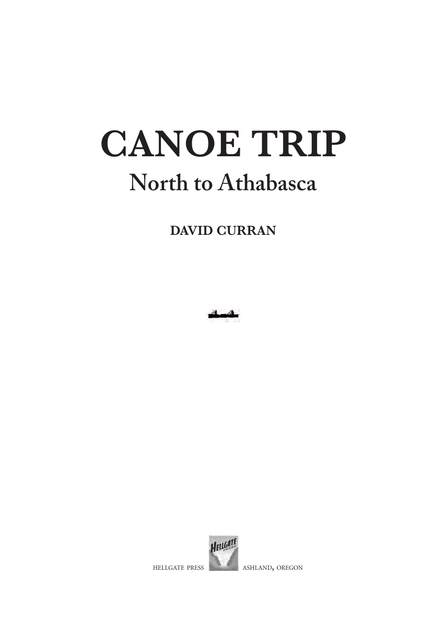# **canoe trip North to Athabasca**

**DaviD curran**





HELLGATE PRESS ASHLAND, OREGON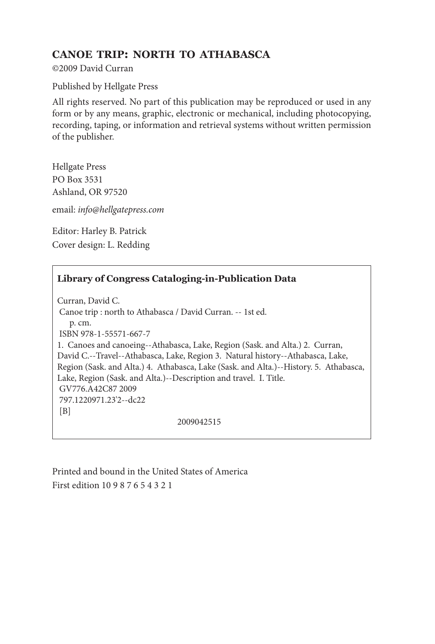## **Canoe triP: north to athabasCa**

©2009 David Curran

Published by Hellgate Press

All rights reserved. No part of this publication may be reproduced or used in any form or by any means, graphic, electronic or mechanical, including photocopying, recording, taping, or information and retrieval systems without written permission of the publisher.

Hellgate Press PO Box 3531 Ashland, OR 97520

email: *info@hellgatepress.com*

Editor: Harley B. Patrick Cover design: L. Redding

### **Library of Congress Cataloging-in-Publication Data**

Curran, David C. Canoe trip : north to Athabasca / David Curran. -- 1st ed. p. cm. ISBN 978-1-55571-667-7 1. Canoes and canoeing--Athabasca, Lake, Region (Sask. and Alta.) 2. Curran, David C.--Travel--Athabasca, Lake, Region 3. Natural history--Athabasca, Lake, Region (Sask. and Alta.) 4. Athabasca, Lake (Sask. and Alta.)--History. 5. Athabasca, Lake, Region (Sask. and Alta.)--Description and travel. I. Title. GV776.A42C87 2009 797.1220971.23'2--dc22  $[B]$ 2009042515

Printed and bound in the United States of America First edition 10 9 8 7 6 5 4 3 2 1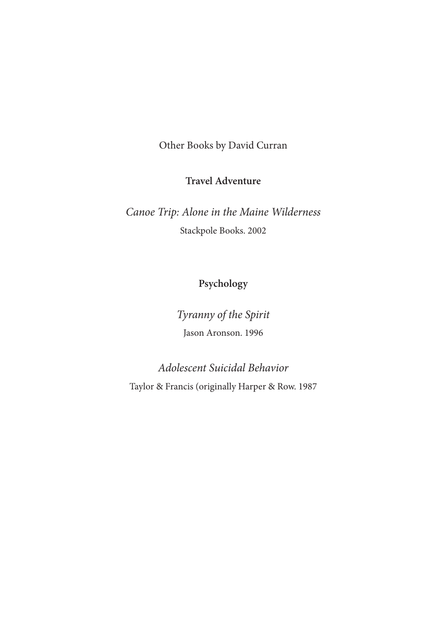Other Books by David Curran

**Travel Adventure**

*Canoe Trip: Alone in the Maine Wilderness* Stackpole Books. 2002

**Psychology**

*Tyranny of the Spirit* Jason Aronson. 1996

*Adolescent Suicidal Behavior* Taylor & Francis (originally Harper & Row. 1987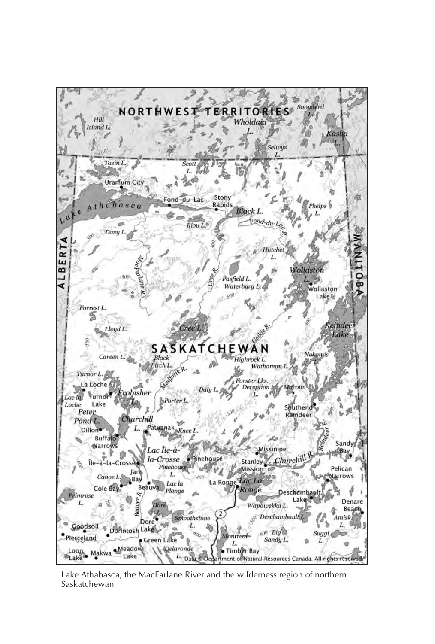

Lake Athabasca, the MacFarlane River and the wilderness region of northern Saskatchewan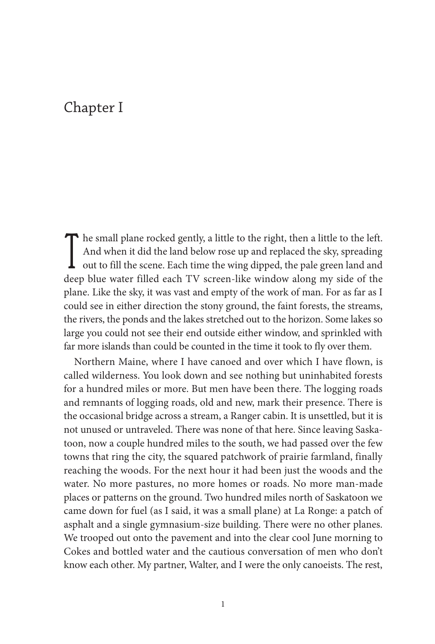# Chapter I

<sup>t</sup> he small plane rocked gently, a little to the right, then a little to the left. And when it did the land below rose up and replaced the sky, spreading  $\perp$  out to fill the scene. Each time the wing dipped, the pale green land and deep blue water filled each TV screen-like window along my side of the plane. Like the sky, it was vast and empty of the work of man. For as far as I could see in either direction the stony ground, the faint forests, the streams, the rivers, the ponds and the lakes stretched out to the horizon. Some lakes so large you could not see their end outside either window, and sprinkled with far more islands than could be counted in the time it took to fly over them.

Northern Maine, where I have canoed and over which I have flown, is called wilderness. You look down and see nothing but uninhabited forests for a hundred miles or more. But men have been there. The logging roads and remnants of logging roads, old and new, mark their presence. There is the occasional bridge across a stream, a Ranger cabin. It is unsettled, but it is not unused or untraveled. There was none of that here. Since leaving Saskatoon, now a couple hundred miles to the south, we had passed over the few towns that ring the city, the squared patchwork of prairie farmland, finally reaching the woods. For the next hour it had been just the woods and the water. No more pastures, no more homes or roads. No more man-made places or patterns on the ground. Two hundred miles north of Saskatoon we came down for fuel (as I said, it was a small plane) at La Ronge: a patch of asphalt and a single gymnasium-size building. There were no other planes. We trooped out onto the pavement and into the clear cool June morning to Cokes and bottled water and the cautious conversation of men who don't know each other. My partner, Walter, and I were the only canoeists. The rest,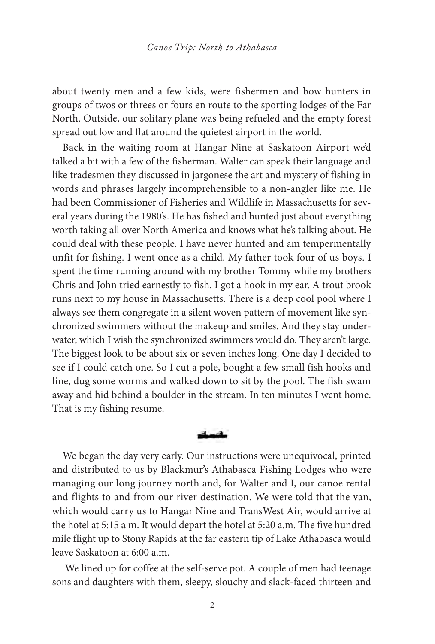about twenty men and a few kids, were fishermen and bow hunters in groups of twos or threes or fours en route to the sporting lodges of the Far North. Outside, our solitary plane was being refueled and the empty forest spread out low and flat around the quietest airport in the world.

Back in the waiting room at Hangar Nine at Saskatoon Airport we'd talked a bit with a few of the fisherman. Walter can speak their language and like tradesmen they discussed in jargonese the art and mystery of fishing in words and phrases largely incomprehensible to a non-angler like me. He had been Commissioner of Fisheries and Wildlife in Massachusetts for several years during the 1980's. He has fished and hunted just about everything worth taking all over North America and knows what he's talking about. He could deal with these people. I have never hunted and am tempermentally unfit for fishing. I went once as a child. My father took four of us boys. I spent the time running around with my brother Tommy while my brothers Chris and John tried earnestly to fish. I got a hook in my ear. A trout brook runs next to my house in Massachusetts. There is a deep cool pool where I always see them congregate in a silent woven pattern of movement like synchronized swimmers without the makeup and smiles. And they stay underwater, which I wish the synchronized swimmers would do. They aren't large. The biggest look to be about six or seven inches long. One day I decided to see if I could catch one. So I cut a pole, bought a few small fish hooks and line, dug some worms and walked down to sit by the pool. The fish swam away and hid behind a boulder in the stream. In ten minutes I went home. That is my fishing resume.

معصد

We began the day very early. Our instructions were unequivocal, printed and distributed to us by Blackmur's Athabasca Fishing Lodges who were managing our long journey north and, for Walter and I, our canoe rental and flights to and from our river destination. We were told that the van, which would carry us to Hangar Nine and TransWest Air, would arrive at the hotel at 5:15 a m. It would depart the hotel at 5:20 a.m. The five hundred mile flight up to Stony Rapids at the far eastern tip of Lake Athabasca would leave Saskatoon at 6:00 a.m.

We lined up for coffee at the self-serve pot. A couple of men had teenage sons and daughters with them, sleepy, slouchy and slack-faced thirteen and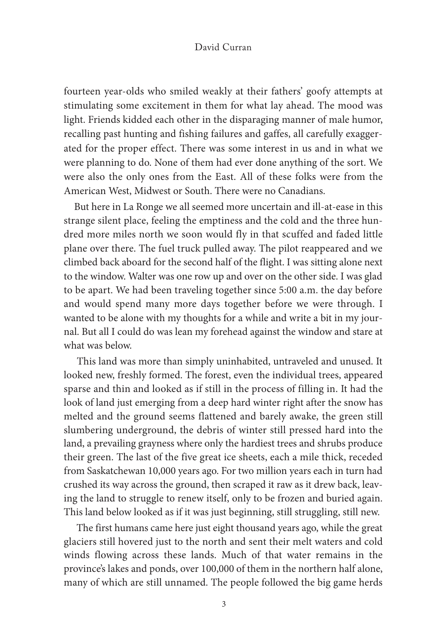fourteen year-olds who smiled weakly at their fathers' goofy attempts at stimulating some excitement in them for what lay ahead. The mood was light. Friends kidded each other in the disparaging manner of male humor, recalling past hunting and fishing failures and gaffes, all carefully exaggerated for the proper effect. There was some interest in us and in what we were planning to do. None of them had ever done anything of the sort. We were also the only ones from the East. All of these folks were from the American West, Midwest or South. There were no Canadians.

But here in La Ronge we all seemed more uncertain and ill-at-ease in this strange silent place, feeling the emptiness and the cold and the three hundred more miles north we soon would fly in that scuffed and faded little plane over there. The fuel truck pulled away. The pilot reappeared and we climbed back aboard for the second half of the flight. I was sitting alone next to the window. Walter was one row up and over on the other side. I was glad to be apart. We had been traveling together since 5:00 a.m. the day before and would spend many more days together before we were through. I wanted to be alone with my thoughts for a while and write a bit in my journal. But all I could do was lean my forehead against the window and stare at what was below.

This land was more than simply uninhabited, untraveled and unused. It looked new, freshly formed. The forest, even the individual trees, appeared sparse and thin and looked as if still in the process of filling in. It had the look of land just emerging from a deep hard winter right after the snow has melted and the ground seems flattened and barely awake, the green still slumbering underground, the debris of winter still pressed hard into the land, a prevailing grayness where only the hardiest trees and shrubs produce their green. The last of the five great ice sheets, each a mile thick, receded from Saskatchewan 10,000 years ago. For two million years each in turn had crushed its way across the ground, then scraped it raw as it drew back, leaving the land to struggle to renew itself, only to be frozen and buried again. This land below looked as if it was just beginning, still struggling, still new.

The first humans came here just eight thousand years ago, while the great glaciers still hovered just to the north and sent their melt waters and cold winds flowing across these lands. Much of that water remains in the province's lakes and ponds, over 100,000 of them in the northern half alone, many of which are still unnamed. The people followed the big game herds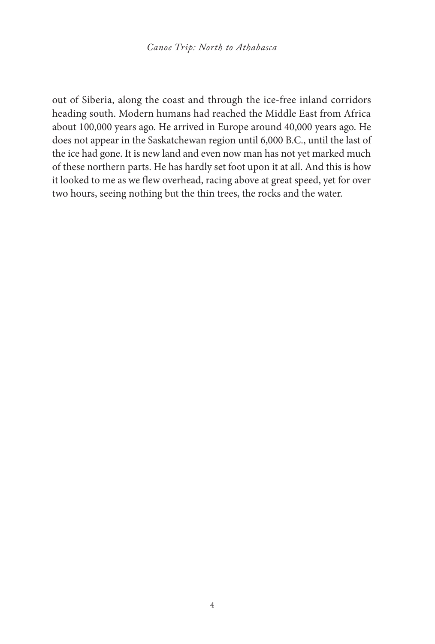out of Siberia, along the coast and through the ice-free inland corridors heading south. Modern humans had reached the Middle East from Africa about 100,000 years ago. He arrived in Europe around 40,000 years ago. He does not appear in the Saskatchewan region until 6,000 B.C., until the last of the ice had gone. It is new land and even now man has not yet marked much of these northern parts. He has hardly set foot upon it at all. And this is how it looked to me as we flew overhead, racing above at great speed, yet for over two hours, seeing nothing but the thin trees, the rocks and the water.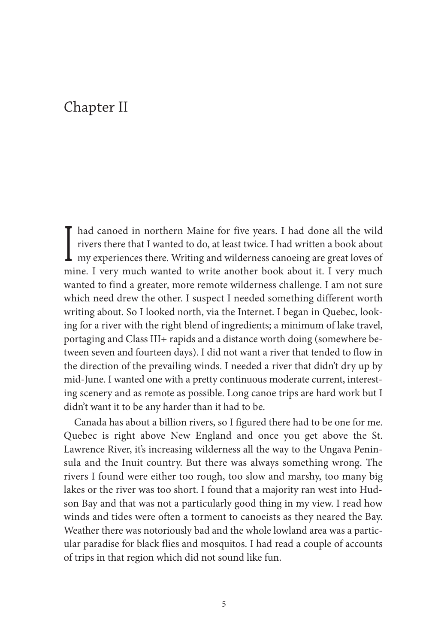# Chapter II

**I** had canoed in northern Maine for five years. I had done all the wild rivers there that I wanted to do, at least twice. I had written a book about my experiences there. Writing and wilderness canoeing are great loves of mine. I very much wanted to write another book about it. I very much wanted to find a greater, more remote wilderness challenge. I am not sure which need drew the other. I suspect I needed something different worth writing about. So I looked north, via the Internet. I began in Quebec, looking for a river with the right blend of ingredients; a minimum of lake travel, portaging and Class III+ rapids and a distance worth doing (somewhere between seven and fourteen days). I did not want a river that tended to flow in the direction of the prevailing winds. I needed a river that didn't dry up by mid-June. I wanted one with a pretty continuous moderate current, interesting scenery and as remote as possible. Long canoe trips are hard work but I didn't want it to be any harder than it had to be.

Canada has about a billion rivers, so I figured there had to be one for me. Quebec is right above New England and once you get above the St. Lawrence River, it's increasing wilderness all the way to the Ungava Peninsula and the Inuit country. But there was always something wrong. The rivers I found were either too rough, too slow and marshy, too many big lakes or the river was too short. I found that a majority ran west into Hudson Bay and that was not a particularly good thing in my view. I read how winds and tides were often a torment to canoeists as they neared the Bay. Weather there was notoriously bad and the whole lowland area was a particular paradise for black flies and mosquitos. I had read a couple of accounts of trips in that region which did not sound like fun.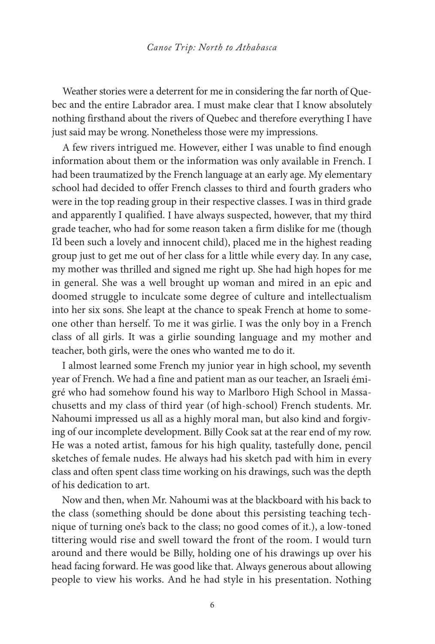Weather stories were a deterrent for me in considering the far north of Quebec and the entire Labrador area. I must make clear that I know absolutely nothing firsthand about the rivers of Quebec and therefore everything I have just said may be wrong. Nonetheless those were my impressions.

A few rivers intrigued me. However, either I was unable to find enough information about them or the information was only available in French. I had been traumatized by the French language at an early age. My elementary school had decided to offer French classes to third and fourth graders who were in the top reading group in their respective classes. I was in third grade and apparently I qualified. I have always suspected, however, that my third grade teacher, who had for some reason taken a firm dislike for me (though I'd been such a lovely and innocent child), placed me in the highest reading group just to get me out of her class for a little while every day. In any case, my mother was thrilled and signed me right up. She had high hopes for me in general. She was a well brought up woman and mired in an epic and doomed struggle to inculcate some degree of culture and intellectualism into her six sons. She leapt at the chance to speak French at home to someone other than herself. To me it was girlie. I was the only boy in a French class of all girls. It was a girlie sounding language and my mother and teacher, both girls, were the ones who wanted me to do it.

I almost learned some French my junior year in high school, my seventh year of French. We had a fine and patient man as our teacher, an Israeli émigré who had somehow found his way to Marlboro High School in Massachusetts and my class of third year (of high-school) French students. Mr. Nahoumi impressed us all as a highly moral man, but also kind and forgiving of our incomplete development. Billy Cook sat at the rear end of my row. He was a noted artist, famous for his high quality, tastefully done, pencil sketches of female nudes. He always had his sketch pad with him in every class and often spent class time working on his drawings, such was the depth of his dedication to art.

Now and then, when Mr. Nahoumi was at the blackboard with his back to the class (something should be done about this persisting teaching technique of turning one's back to the class; no good comes of it.), a low-toned tittering would rise and swell toward the front of the room. I would turn around and there would be Billy, holding one of his drawings up over his head facing forward. He was good like that. Always generous about allowing people to view his works. And he had style in his presentation. Nothing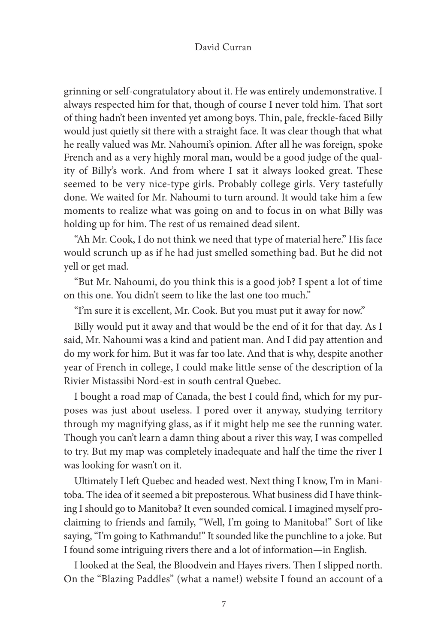grinning or self-congratulatory about it. He was entirely undemonstrative. I always respected him for that, though of course I never told him. That sort of thing hadn't been invented yet among boys. Thin, pale, freckle-faced Billy would just quietly sit there with a straight face. It was clear though that what he really valued was Mr. Nahoumi's opinion. After all he was foreign, spoke French and as a very highly moral man, would be a good judge of the quality of Billy's work. And from where I sat it always looked great. These seemed to be very nice-type girls. Probably college girls. Very tastefully done. We waited for Mr. Nahoumi to turn around. It would take him a few moments to realize what was going on and to focus in on what Billy was holding up for him. The rest of us remained dead silent.

"Ah Mr. Cook, I do not think we need that type of material here." His face would scrunch up as if he had just smelled something bad. But he did not yell or get mad.

"But Mr. Nahoumi, do you think this is a good job? I spent a lot of time on this one. You didn't seem to like the last one too much."

"I'm sure it is excellent, Mr. Cook. But you must put it away for now."

Billy would put it away and that would be the end of it for that day. As I said, Mr. Nahoumi was a kind and patient man. And I did pay attention and do my work for him. But it was far too late. And that is why, despite another year of French in college, I could make little sense of the description of la Rivier Mistassibi Nord-est in south central Quebec.

I bought a road map of Canada, the best I could find, which for my purposes was just about useless. I pored over it anyway, studying territory through my magnifying glass, as if it might help me see the running water. Though you can't learn a damn thing about a river this way, I was compelled to try. But my map was completely inadequate and half the time the river I was looking for wasn't on it.

Ultimately I left Quebec and headed west. Next thing I know, I'm in Manitoba. The idea of it seemed a bit preposterous. What business did I have thinking I should go to Manitoba? It even sounded comical. I imagined myself proclaiming to friends and family, "Well, I'm going to Manitoba!" Sort of like saying, "I'm going to Kathmandu!" It sounded like the punchline to a joke. But I found some intriguing rivers there and a lot of information—in English.

I looked at the Seal, the Bloodvein and Hayes rivers. Then I slipped north. On the "Blazing Paddles" (what a name!) website I found an account of a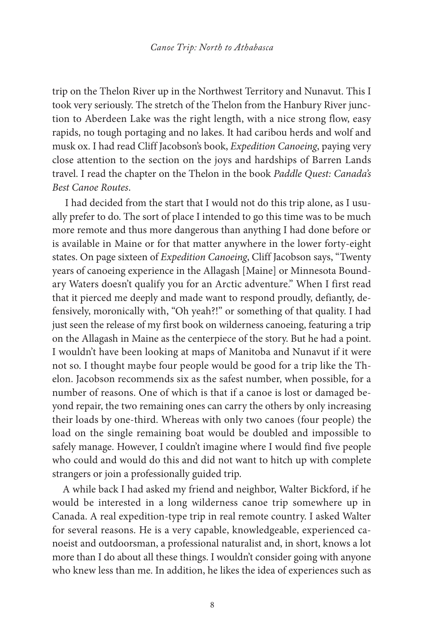trip on the Thelon River up in the Northwest Territory and Nunavut. This I took very seriously. The stretch of the Thelon from the Hanbury River junction to Aberdeen Lake was the right length, with a nice strong flow, easy rapids, no tough portaging and no lakes. It had caribou herds and wolf and musk ox. I had read Cliff Jacobson's book, *Expedition Canoeing*, paying very close attention to the section on the joys and hardships of Barren Lands travel. I read the chapter on the Thelon in the book *Paddle Quest: Canada's Best Canoe Routes*.

I had decided from the start that I would not do this trip alone, as I usually prefer to do. The sort of place I intended to go this time was to be much more remote and thus more dangerous than anything I had done before or is available in Maine or for that matter anywhere in the lower forty-eight states. On page sixteen of *Expedition Canoeing*, Cliff Jacobson says, "Twenty years of canoeing experience in the Allagash [Maine] or Minnesota Boundary Waters doesn't qualify you for an Arctic adventure." When I first read that it pierced me deeply and made want to respond proudly, defiantly, defensively, moronically with, "Oh yeah?!" or something of that quality. I had just seen the release of my first book on wilderness canoeing, featuring a trip on the Allagash in Maine as the centerpiece of the story. But he had a point. I wouldn't have been looking at maps of Manitoba and Nunavut if it were not so. I thought maybe four people would be good for a trip like the Thelon. Jacobson recommends six as the safest number, when possible, for a number of reasons. One of which is that if a canoe is lost or damaged beyond repair, the two remaining ones can carry the others by only increasing their loads by one-third. Whereas with only two canoes (four people) the load on the single remaining boat would be doubled and impossible to safely manage. However, I couldn't imagine where I would find five people who could and would do this and did not want to hitch up with complete strangers or join a professionally guided trip.

A while back I had asked my friend and neighbor, Walter Bickford, if he would be interested in a long wilderness canoe trip somewhere up in Canada. A real expedition-type trip in real remote country. I asked Walter for several reasons. He is a very capable, knowledgeable, experienced canoeist and outdoorsman, a professional naturalist and, in short, knows a lot more than I do about all these things. I wouldn't consider going with anyone who knew less than me. In addition, he likes the idea of experiences such as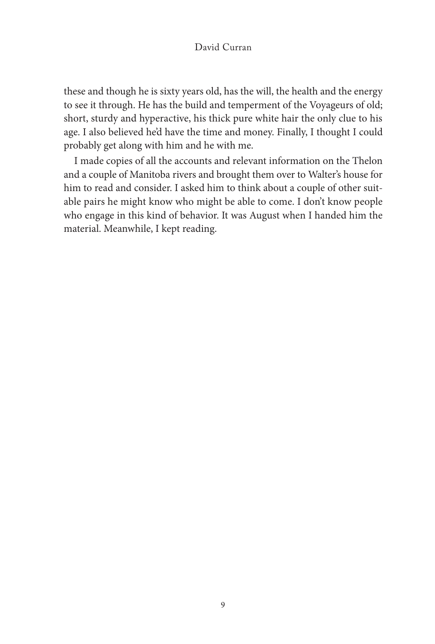these and though he is sixty years old, has the will, the health and the energy to see it through. He has the build and temperment of the Voyageurs of old; short, sturdy and hyperactive, his thick pure white hair the only clue to his age. I also believed he'd have the time and money. Finally, I thought I could probably get along with him and he with me.

I made copies of all the accounts and relevant information on the Thelon and a couple of Manitoba rivers and brought them over to Walter's house for him to read and consider. I asked him to think about a couple of other suitable pairs he might know who might be able to come. I don't know people who engage in this kind of behavior. It was August when I handed him the material. Meanwhile, I kept reading.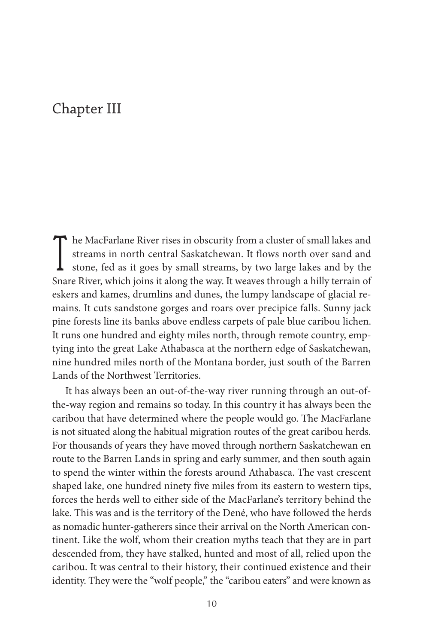## Chapter III

T he MacFarlane River rises in obscurity from a cluster of small lakes and streams in north central Saskatchewan. It flows north over sand and stone, fed as it goes by small streams, by two large lakes and by the Snare River, which joins it along the way. It weaves through a hilly terrain of eskers and kames, drumlins and dunes, the lumpy landscape of glacial remains. It cuts sandstone gorges and roars over precipice falls. Sunny jack pine forests line its banks above endless carpets of pale blue caribou lichen. It runs one hundred and eighty miles north, through remote country, emptying into the great Lake Athabasca at the northern edge of Saskatchewan, nine hundred miles north of the Montana border, just south of the Barren Lands of the Northwest Territories.

It has always been an out-of-the-way river running through an out-ofthe-way region and remains so today. In this country it has always been the caribou that have determined where the people would go. The MacFarlane is not situated along the habitual migration routes of the great caribou herds. For thousands of years they have moved through northern Saskatchewan en route to the Barren Lands in spring and early summer, and then south again to spend the winter within the forests around Athabasca. The vast crescent shaped lake, one hundred ninety five miles from its eastern to western tips, forces the herds well to either side of the MacFarlane's territory behind the lake. This was and is the territory of the Dené, who have followed the herds as nomadic hunter-gatherers since their arrival on the North American continent. Like the wolf, whom their creation myths teach that they are in part descended from, they have stalked, hunted and most of all, relied upon the caribou. It was central to their history, their continued existence and their identity. They were the "wolf people," the "caribou eaters" and were known as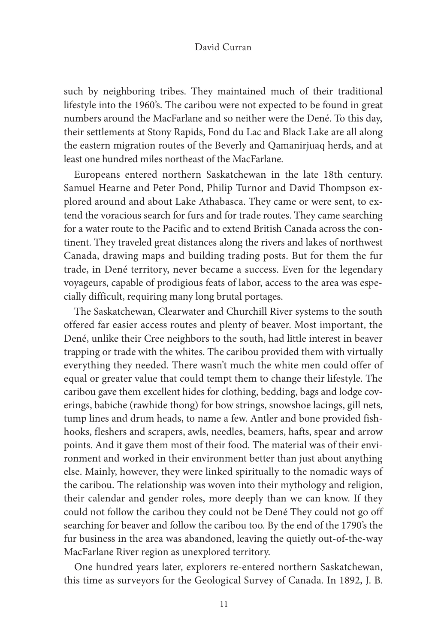such by neighboring tribes. They maintained much of their traditional lifestyle into the 1960's. The caribou were not expected to be found in great numbers around the MacFarlane and so neither were the Dené. To this day, their settlements at Stony Rapids, Fond du Lac and Black Lake are all along the eastern migration routes of the Beverly and Qamanirjuaq herds, and at least one hundred miles northeast of the MacFarlane.

Europeans entered northern Saskatchewan in the late 18th century. Samuel Hearne and Peter Pond, Philip Turnor and David Thompson explored around and about Lake Athabasca. They came or were sent, to extend the voracious search for furs and for trade routes. They came searching for a water route to the Pacific and to extend British Canada across the continent. They traveled great distances along the rivers and lakes of northwest Canada, drawing maps and building trading posts. But for them the fur trade, in Dené territory, never became a success. Even for the legendary voyageurs, capable of prodigious feats of labor, access to the area was especially difficult, requiring many long brutal portages.

The Saskatchewan, Clearwater and Churchill River systems to the south offered far easier access routes and plenty of beaver. Most important, the Dené, unlike their Cree neighbors to the south, had little interest in beaver trapping or trade with the whites. The caribou provided them with virtually everything they needed. There wasn't much the white men could offer of equal or greater value that could tempt them to change their lifestyle. The caribou gave them excellent hides for clothing, bedding, bags and lodge coverings, babiche (rawhide thong) for bow strings, snowshoe lacings, gill nets, tump lines and drum heads, to name a few. Antler and bone provided fishhooks, fleshers and scrapers, awls, needles, beamers, hafts, spear and arrow points. And it gave them most of their food. The material was of their environment and worked in their environment better than just about anything else. Mainly, however, they were linked spiritually to the nomadic ways of the caribou. The relationship was woven into their mythology and religion, their calendar and gender roles, more deeply than we can know. If they could not follow the caribou they could not be Dené They could not go off searching for beaver and follow the caribou too. By the end of the 1790's the fur business in the area was abandoned, leaving the quietly out-of-the-way MacFarlane River region as unexplored territory.

One hundred years later, explorers re-entered northern Saskatchewan, this time as surveyors for the Geological Survey of Canada. In 1892, J. B.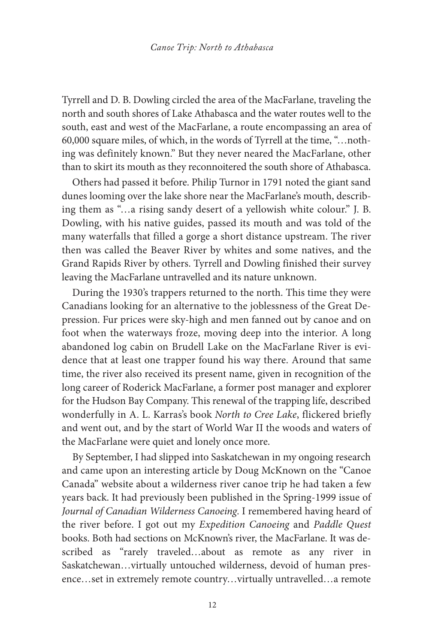Tyrrell and D. B. Dowling circled the area of the MacFarlane, traveling the north and south shores of Lake Athabasca and the water routes well to the south, east and west of the MacFarlane, a route encompassing an area of 60,000 square miles, of which, in the words of Tyrrell at the time, "…nothing was definitely known." But they never neared the MacFarlane, other than to skirt its mouth as they reconnoitered the south shore of Athabasca.

Others had passed it before. Philip Turnor in 1791 noted the giant sand dunes looming over the lake shore near the MacFarlane's mouth, describing them as "…a rising sandy desert of a yellowish white colour." J. B. Dowling, with his native guides, passed its mouth and was told of the many waterfalls that filled a gorge a short distance upstream. The river then was called the Beaver River by whites and some natives, and the Grand Rapids River by others. Tyrrell and Dowling finished their survey leaving the MacFarlane untravelled and its nature unknown.

During the 1930's trappers returned to the north. This time they were Canadians looking for an alternative to the joblessness of the Great Depression. Fur prices were sky-high and men fanned out by canoe and on foot when the waterways froze, moving deep into the interior. A long abandoned log cabin on Brudell Lake on the MacFarlane River is evidence that at least one trapper found his way there. Around that same time, the river also received its present name, given in recognition of the long career of Roderick MacFarlane, a former post manager and explorer for the Hudson Bay Company. This renewal of the trapping life, described wonderfully in A. L. Karras's book *North to Cree Lake*, flickered briefly and went out, and by the start of World War II the woods and waters of the MacFarlane were quiet and lonely once more.

By September, I had slipped into Saskatchewan in my ongoing research and came upon an interesting article by Doug McKnown on the "Canoe Canada" website about a wilderness river canoe trip he had taken a few years back. It had previously been published in the Spring-1999 issue of *Journal of Canadian Wilderness Canoeing*. I remembered having heard of the river before. I got out my *Expedition Canoeing* and *Paddle Quest* books. Both had sections on McKnown's river, the MacFarlane. It was described as "rarely traveled…about as remote as any river in Saskatchewan…virtually untouched wilderness, devoid of human presence…set in extremely remote country…virtually untravelled…a remote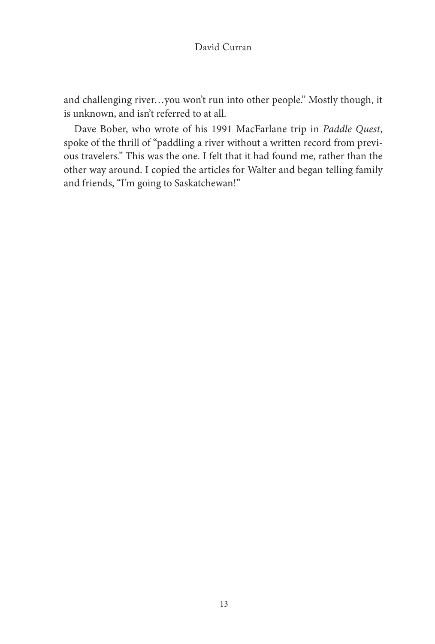and challenging river…you won't run into other people." Mostly though, it is unknown, and isn't referred to at all.

Dave Bober, who wrote of his 1991 MacFarlane trip in *Paddle Quest*, spoke of the thrill of "paddling a river without a written record from previous travelers." This was the one. I felt that it had found me, rather than the other way around. I copied the articles for Walter and began telling family and friends, "I'm going to Saskatchewan!"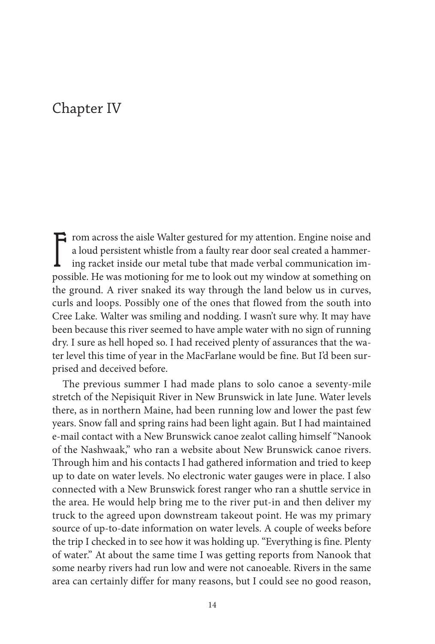## Chapter IV

F rom across the aisle Walter gestured for my attention. Engine noise and<br>a loud persistent whistle from a faulty rear door seal created a hammer-<br>ing racket inside our metal tube that made verbal communication im-<br>possibl a loud persistent whistle from a faulty rear door seal created a hammering racket inside our metal tube that made verbal communication impossible. He was motioning for me to look out my window at something on the ground. A river snaked its way through the land below us in curves, curls and loops. Possibly one of the ones that flowed from the south into Cree Lake. Walter was smiling and nodding. I wasn't sure why. It may have been because this river seemed to have ample water with no sign of running dry. I sure as hell hoped so. I had received plenty of assurances that the water level this time of year in the MacFarlane would be fine. But I'd been surprised and deceived before.

The previous summer I had made plans to solo canoe a seventy-mile stretch of the Nepisiquit River in New Brunswick in late June. Water levels there, as in northern Maine, had been running low and lower the past few years. Snow fall and spring rains had been light again. But I had maintained e-mail contact with a New Brunswick canoe zealot calling himself "Nanook of the Nashwaak," who ran a website about New Brunswick canoe rivers. Through him and his contacts I had gathered information and tried to keep up to date on water levels. No electronic water gauges were in place. I also connected with a New Brunswick forest ranger who ran a shuttle service in the area. He would help bring me to the river put-in and then deliver my truck to the agreed upon downstream takeout point. He was my primary source of up-to-date information on water levels. A couple of weeks before the trip I checked in to see how it was holding up. "Everything is fine. Plenty of water." At about the same time I was getting reports from Nanook that some nearby rivers had run low and were not canoeable. Rivers in the same area can certainly differ for many reasons, but I could see no good reason,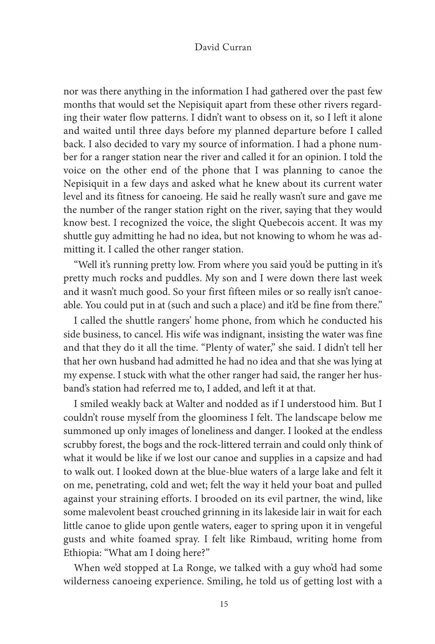nor was there anything in the information I had gathered over the past few months that would set the Nepisiquit apart from these other rivers regarding their water flow patterns. I didn't want to obsess on it, so I left it alone and waited until three days before my planned departure before I called back. I also decided to vary my source of information. I had a phone number for a ranger station near the river and called it for an opinion. I told the voice on the other end of the phone that I was planning to canoe the Nepisiquit in a few days and asked what he knew about its current water level and its fitness for canoeing. He said he really wasn't sure and gave me the number of the ranger station right on the river, saying that they would know best. I recognized the voice, the slight Quebecois accent. It was my shuttle guy admitting he had no idea, but not knowing to whom he was admitting it. I called the other ranger station.

"Well it's running pretty low. From where you said you'd be putting in it's pretty much rocks and puddles. My son and I were down there last week and it wasn't much good. So your first fifteen miles or so really isn't canoeable. You could put in at (such and such a place) and it'd be fine from there."

I called the shuttle rangers' home phone, from which he conducted his side business, to cancel. His wife was indignant, insisting the water was fine and that they do it all the time. "Plenty of water," she said. I didn't tell her that her own husband had admitted he had no idea and that she was lying at my expense. I stuck with what the other ranger had said, the ranger her husband's station had referred me to, I added, and left it at that.

I smiled weakly back at Walter and nodded as if I understood him. But I couldn't rouse myself from the gloominess I felt. The landscape below me summoned up only images of loneliness and danger. I looked at the endless scrubby forest, the bogs and the rock-littered terrain and could only think of what it would be like if we lost our canoe and supplies in a capsize and had to walk out. I looked down at the blue-blue waters of a large lake and felt it on me, penetrating, cold and wet; felt the way it held your boat and pulled against your straining efforts. I brooded on its evil partner, the wind, like some malevolent beast crouched grinning in its lakeside lair in wait for each little canoe to glide upon gentle waters, eager to spring upon it in vengeful gusts and white foamed spray. I felt like Rimbaud, writing home from Ethiopia: "What am I doing here?"

When we'd stopped at La Ronge, we talked with a guy who'd had some wilderness canoeing experience. Smiling, he told us of getting lost with a